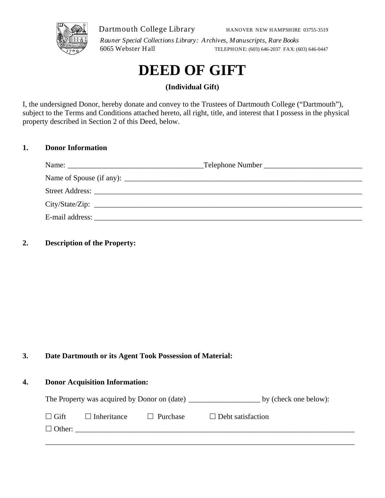

Dartmouth College Library

HANOVER NEW HAMPSHIRE 03755-3519

*Rauner Special Collections Library: Archives, Manuscripts, Rare Books* 6065 Webster Hall TELEPHONE: (603) 646-2037 FAX: (603) 646-0447

# **DEED OF GIFT**

**(Individual Gift)** 

I, the undersigned Donor, hereby donate and convey to the Trustees of Dartmouth College ("Dartmouth"), subject to the Terms and Conditions attached hereto, all right, title, and interest that I possess in the physical property described in Section 2 of this Deed, below.

### **1. Donor Information**

|                 | Telephone Number |
|-----------------|------------------|
|                 |                  |
|                 |                  |
|                 | City/State/Zip:  |
| E-mail address: |                  |

## **2. Description of the Property:**

### **3. Date Dartmouth or its Agent Took Possession of Material:**

#### **4. Donor Acquisition Information:**

| The Property was acquired by Donor on (date) | by (check one below): |
|----------------------------------------------|-----------------------|
|----------------------------------------------|-----------------------|

| $\Box$ Gift   | $\Box$ Inheritance | $\Box$ Purchase | $\Box$ Debt satisfaction |
|---------------|--------------------|-----------------|--------------------------|
| $\Box$ Other: |                    |                 |                          |
|               |                    |                 |                          |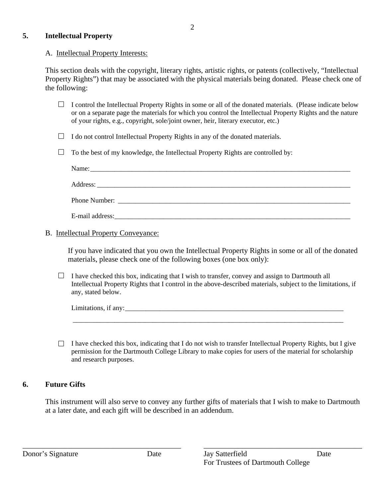#### **5. Intellectual Property**

#### A. Intellectual Property Interests:

This section deals with the copyright, literary rights, artistic rights, or patents (collectively, "Intellectual Property Rights") that may be associated with the physical materials being donated. Please check one of the following:

- $\Box$  I control the Intellectual Property Rights in some or all of the donated materials. (Please indicate below or on a separate page the materials for which you control the Intellectual Property Rights and the nature of your rights, e.g., copyright, sole/joint owner, heir, literary executor, etc.)
- $\Box$  I do not control Intellectual Property Rights in any of the donated materials.
- $\Box$  To the best of my knowledge, the Intellectual Property Rights are controlled by:

|                 | Name: Name:                                                                                                                                                                                                                    |  |
|-----------------|--------------------------------------------------------------------------------------------------------------------------------------------------------------------------------------------------------------------------------|--|
|                 |                                                                                                                                                                                                                                |  |
|                 | Phone Number: The Second Second Second Second Second Second Second Second Second Second Second Second Second Second Second Second Second Second Second Second Second Second Second Second Second Second Second Second Second S |  |
| E-mail address: |                                                                                                                                                                                                                                |  |

#### B. Intellectual Property Conveyance:

If you have indicated that you own the Intellectual Property Rights in some or all of the donated materials, please check one of the following boxes (one box only):

 $\Box$  I have checked this box, indicating that I wish to transfer, convey and assign to Dartmouth all Intellectual Property Rights that I control in the above-described materials, subject to the limitations, if any, stated below.

| Limitations<br>$\cdot$ $\sim$<br>$\sim$ $\sim$ $\sim$ $\sim$<br>all<br>$\ddot{\phantom{0}}$ |  |  |  |
|---------------------------------------------------------------------------------------------|--|--|--|
|                                                                                             |  |  |  |
|                                                                                             |  |  |  |

 $\Box$  I have checked this box, indicating that I do not wish to transfer Intellectual Property Rights, but I give permission for the Dartmouth College Library to make copies for users of the material for scholarship and research purposes.

### **6. Future Gifts**

This instrument will also serve to convey any further gifts of materials that I wish to make to Dartmouth at a later date, and each gift will be described in an addendum.

\_\_\_\_\_\_\_\_\_\_\_\_\_\_\_\_\_\_\_\_\_\_\_\_\_\_\_\_\_\_\_\_\_\_\_\_\_\_\_\_\_\_ \_\_\_\_\_\_\_\_\_\_\_\_\_\_\_\_\_\_\_\_\_\_\_\_\_\_\_\_\_\_\_\_\_\_\_\_\_\_\_\_\_\_